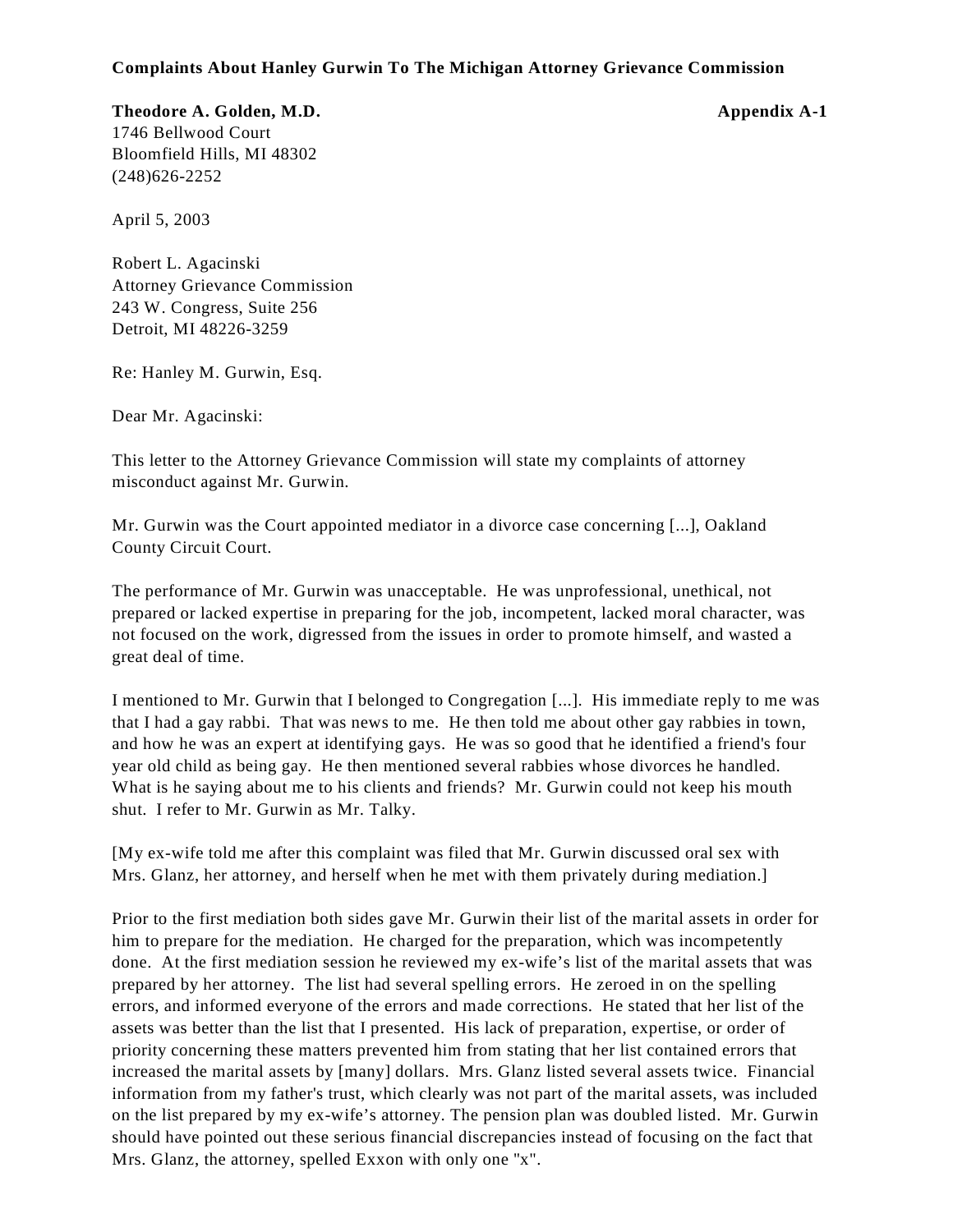# **Complaints About Hanley Gurwin To The Michigan Attorney Grievance Commission**

**Theodore A. Golden, M.D. Appendix A-1** 1746 Bellwood Court Bloomfield Hills, MI 48302 (248)626-2252

April 5, 2003

Robert L. Agacinski Attorney Grievance Commission 243 W. Congress, Suite 256 Detroit, MI 48226-3259

Re: Hanley M. Gurwin, Esq.

Dear Mr. Agacinski:

This letter to the Attorney Grievance Commission will state my complaints of attorney misconduct against Mr. Gurwin.

Mr. Gurwin was the Court appointed mediator in a divorce case concerning [...], Oakland County Circuit Court.

The performance of Mr. Gurwin was unacceptable. He was unprofessional, unethical, not prepared or lacked expertise in preparing for the job, incompetent, lacked moral character, was not focused on the work, digressed from the issues in order to promote himself, and wasted a great deal of time.

I mentioned to Mr. Gurwin that I belonged to Congregation [...]. His immediate reply to me was that I had a gay rabbi. That was news to me. He then told me about other gay rabbies in town, and how he was an expert at identifying gays. He was so good that he identified a friend's four year old child as being gay. He then mentioned several rabbies whose divorces he handled. What is he saying about me to his clients and friends? Mr. Gurwin could not keep his mouth shut. I refer to Mr. Gurwin as Mr. Talky.

[My ex-wife told me after this complaint was filed that Mr. Gurwin discussed oral sex with Mrs. Glanz, her attorney, and herself when he met with them privately during mediation.]

Prior to the first mediation both sides gave Mr. Gurwin their list of the marital assets in order for him to prepare for the mediation. He charged for the preparation, which was incompetently done. At the first mediation session he reviewed my ex-wife's list of the marital assets that was prepared by her attorney. The list had several spelling errors. He zeroed in on the spelling errors, and informed everyone of the errors and made corrections. He stated that her list of the assets was better than the list that I presented. His lack of preparation, expertise, or order of priority concerning these matters prevented him from stating that her list contained errors that increased the marital assets by [many] dollars. Mrs. Glanz listed several assets twice. Financial information from my father's trust, which clearly was not part of the marital assets, was included on the list prepared by my ex-wife's attorney. The pension plan was doubled listed. Mr. Gurwin should have pointed out these serious financial discrepancies instead of focusing on the fact that Mrs. Glanz, the attorney, spelled Exxon with only one "x".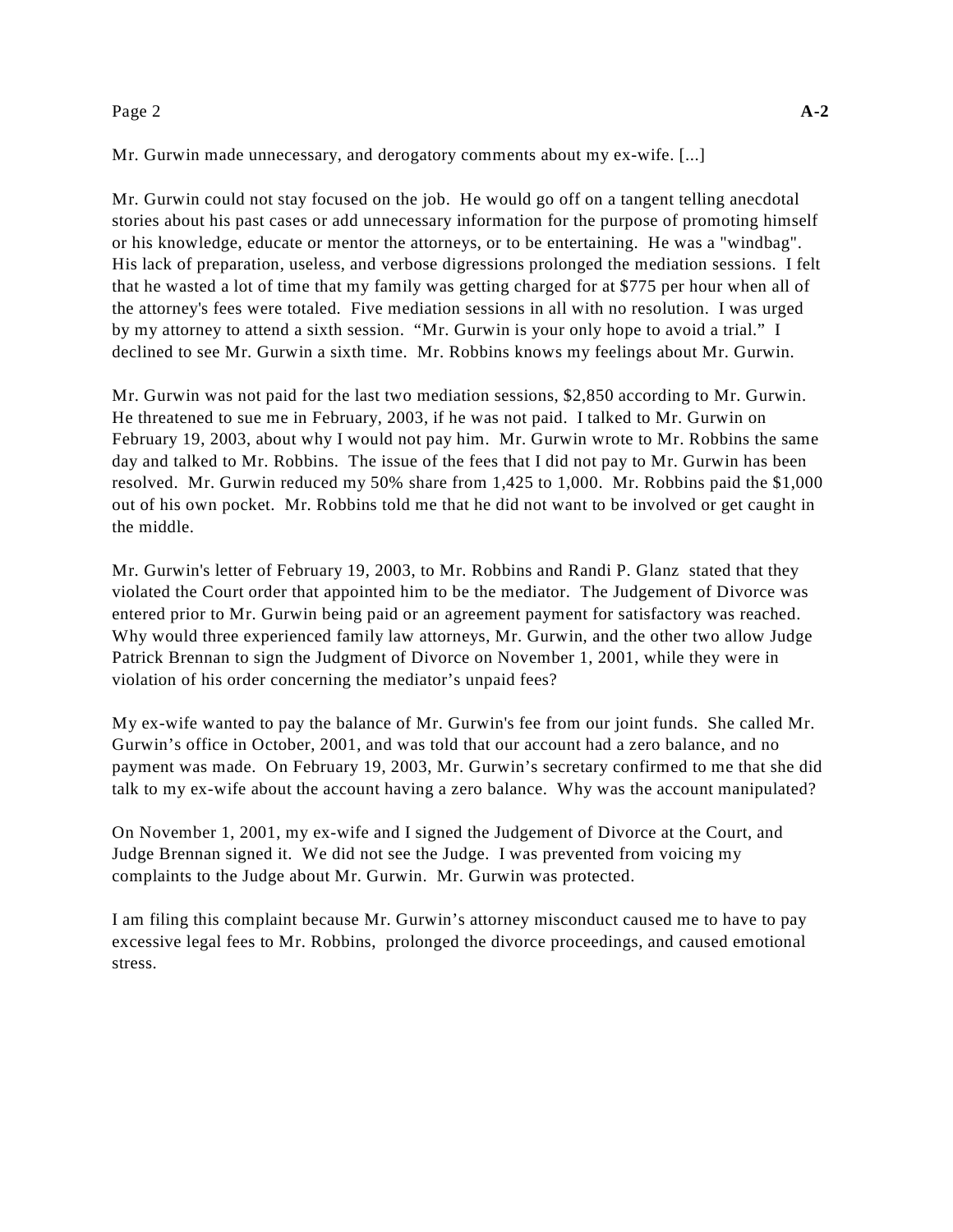### Page 2 **A-2**

Mr. Gurwin made unnecessary, and derogatory comments about my ex-wife. [...]

Mr. Gurwin could not stay focused on the job. He would go off on a tangent telling anecdotal stories about his past cases or add unnecessary information for the purpose of promoting himself or his knowledge, educate or mentor the attorneys, or to be entertaining. He was a "windbag". His lack of preparation, useless, and verbose digressions prolonged the mediation sessions. I felt that he wasted a lot of time that my family was getting charged for at \$775 per hour when all of the attorney's fees were totaled. Five mediation sessions in all with no resolution. I was urged by my attorney to attend a sixth session. "Mr. Gurwin is your only hope to avoid a trial." I declined to see Mr. Gurwin a sixth time. Mr. Robbins knows my feelings about Mr. Gurwin.

Mr. Gurwin was not paid for the last two mediation sessions, \$2,850 according to Mr. Gurwin. He threatened to sue me in February, 2003, if he was not paid. I talked to Mr. Gurwin on February 19, 2003, about why I would not pay him. Mr. Gurwin wrote to Mr. Robbins the same day and talked to Mr. Robbins. The issue of the fees that I did not pay to Mr. Gurwin has been resolved. Mr. Gurwin reduced my 50% share from 1,425 to 1,000. Mr. Robbins paid the \$1,000 out of his own pocket. Mr. Robbins told me that he did not want to be involved or get caught in the middle.

Mr. Gurwin's letter of February 19, 2003, to Mr. Robbins and Randi P. Glanz stated that they violated the Court order that appointed him to be the mediator. The Judgement of Divorce was entered prior to Mr. Gurwin being paid or an agreement payment for satisfactory was reached. Why would three experienced family law attorneys, Mr. Gurwin, and the other two allow Judge Patrick Brennan to sign the Judgment of Divorce on November 1, 2001, while they were in violation of his order concerning the mediator's unpaid fees?

My ex-wife wanted to pay the balance of Mr. Gurwin's fee from our joint funds. She called Mr. Gurwin's office in October, 2001, and was told that our account had a zero balance, and no payment was made. On February 19, 2003, Mr. Gurwin's secretary confirmed to me that she did talk to my ex-wife about the account having a zero balance. Why was the account manipulated?

On November 1, 2001, my ex-wife and I signed the Judgement of Divorce at the Court, and Judge Brennan signed it. We did not see the Judge. I was prevented from voicing my complaints to the Judge about Mr. Gurwin. Mr. Gurwin was protected.

I am filing this complaint because Mr. Gurwin's attorney misconduct caused me to have to pay excessive legal fees to Mr. Robbins, prolonged the divorce proceedings, and caused emotional stress.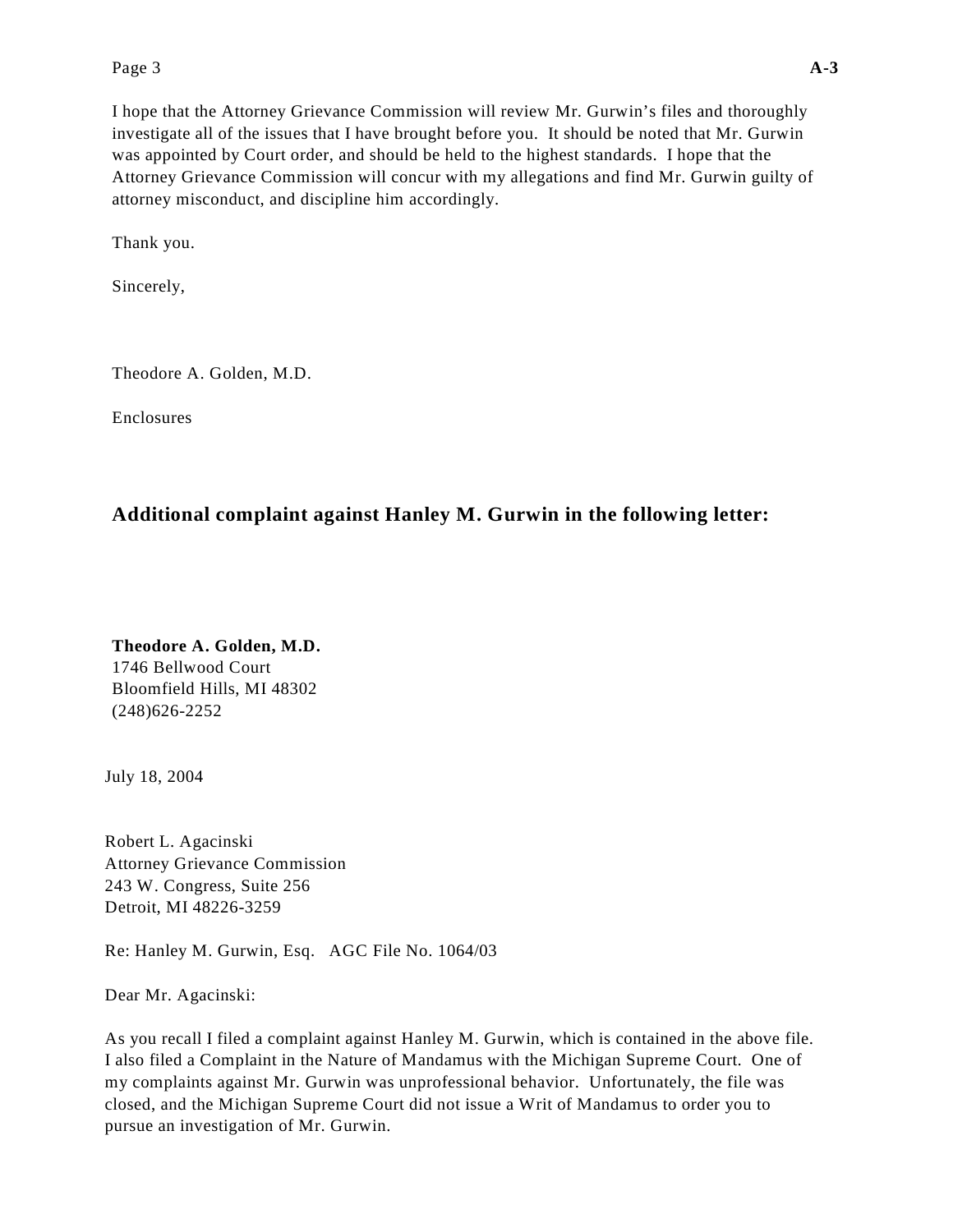# Page 3 **A-3**

I hope that the Attorney Grievance Commission will review Mr. Gurwin's files and thoroughly investigate all of the issues that I have brought before you. It should be noted that Mr. Gurwin was appointed by Court order, and should be held to the highest standards. I hope that the Attorney Grievance Commission will concur with my allegations and find Mr. Gurwin guilty of attorney misconduct, and discipline him accordingly.

Thank you.

Sincerely,

Theodore A. Golden, M.D.

Enclosures

# **Additional complaint against Hanley M. Gurwin in the following letter:**

**Theodore A. Golden, M.D.**  1746 Bellwood Court Bloomfield Hills, MI 48302 (248)626-2252

July 18, 2004

Robert L. Agacinski Attorney Grievance Commission 243 W. Congress, Suite 256 Detroit, MI 48226-3259

Re: Hanley M. Gurwin, Esq. AGC File No. 1064/03

Dear Mr. Agacinski:

As you recall I filed a complaint against Hanley M. Gurwin, which is contained in the above file. I also filed a Complaint in the Nature of Mandamus with the Michigan Supreme Court. One of my complaints against Mr. Gurwin was unprofessional behavior. Unfortunately, the file was closed, and the Michigan Supreme Court did not issue a Writ of Mandamus to order you to pursue an investigation of Mr. Gurwin.